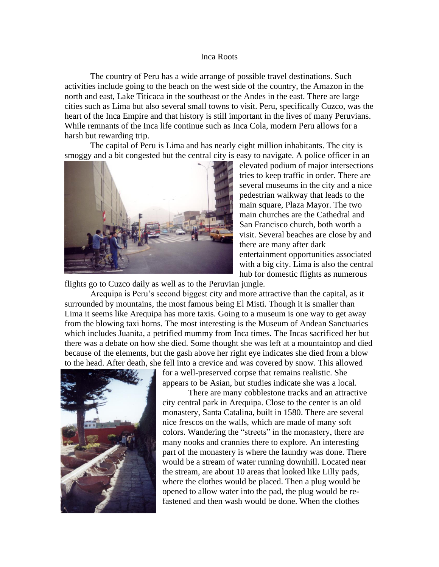## Inca Roots

The country of Peru has a wide arrange of possible travel destinations. Such activities include going to the beach on the west side of the country, the Amazon in the north and east, Lake Titicaca in the southeast or the Andes in the east. There are large cities such as Lima but also several small towns to visit. Peru, specifically Cuzco, was the heart of the Inca Empire and that history is still important in the lives of many Peruvians. While remnants of the Inca life continue such as Inca Cola, modern Peru allows for a harsh but rewarding trip.

The capital of Peru is Lima and has nearly eight million inhabitants. The city is smoggy and a bit congested but the central city is easy to navigate. A police officer in an



elevated podium of major intersections tries to keep traffic in order. There are several museums in the city and a nice pedestrian walkway that leads to the main square, Plaza Mayor. The two main churches are the Cathedral and San Francisco church, both worth a visit. Several beaches are close by and there are many after dark entertainment opportunities associated with a big city. Lima is also the central hub for domestic flights as numerous

flights go to Cuzco daily as well as to the Peruvian jungle.

Arequipa is Peru's second biggest city and more attractive than the capital, as it surrounded by mountains, the most famous being El Misti. Though it is smaller than Lima it seems like Arequipa has more taxis. Going to a museum is one way to get away from the blowing taxi horns. The most interesting is the Museum of Andean Sanctuaries which includes Juanita, a petrified mummy from Inca times. The Incas sacrificed her but there was a debate on how she died. Some thought she was left at a mountaintop and died because of the elements, but the gash above her right eye indicates she died from a blow to the head. After death, she fell into a crevice and was covered by snow. This allowed



for a well-preserved corpse that remains realistic. She appears to be Asian, but studies indicate she was a local.

There are many cobblestone tracks and an attractive city central park in Arequipa. Close to the center is an old monastery, Santa Catalina, built in 1580. There are several nice frescos on the walls, which are made of many soft colors. Wandering the "streets" in the monastery, there are many nooks and crannies there to explore. An interesting part of the monastery is where the laundry was done. There would be a stream of water running downhill. Located near the stream, are about 10 areas that looked like Lilly pads, where the clothes would be placed. Then a plug would be opened to allow water into the pad, the plug would be refastened and then wash would be done. When the clothes